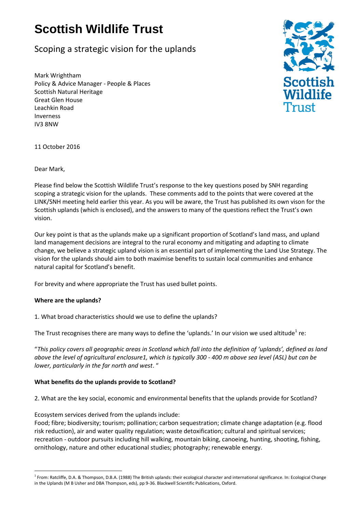# **Scottish Wildlife Trust**

## Scoping a strategic vision for the uplands

Mark Wrightham Policy & Advice Manager - People & Places Scottish Natural Heritage Great Glen House Leachkin Road Inverness IV3 8NW



11 October 2016

Dear Mark,

Please find below the Scottish Wildlife Trust's response to the key questions posed by SNH regarding scoping a strategic vision for the uplands. These comments add to the points that were covered at the LINK/SNH meeting held earlier this year. As you will be aware, the Trust has published its own vison for the Scottish uplands (which is enclosed), and the answers to many of the questions reflect the Trust's own vision.

Our key point is that as the uplands make up a significant proportion of Scotland's land mass, and upland land management decisions are integral to the rural economy and mitigating and adapting to climate change, we believe a strategic upland vision is an essential part of implementing the Land Use Strategy. The vision for the uplands should aim to both maximise benefits to sustain local communities and enhance natural capital for Scotland's benefit.

For brevity and where appropriate the Trust has used bullet points.

### **Where are the uplands?**

 $\overline{a}$ 

1. What broad characteristics should we use to define the uplands?

The Trust recognises there are many ways to define the 'uplands.' In our vision we used altitude<sup>1</sup> re:

"*This policy covers all geographic areas in Scotland which fall into the definition of 'uplands', defined as land above the level of agricultural enclosure1, which is typically 300 - 400 m above sea level (ASL) but can be lower, particularly in the far north and west*. "

### **What benefits do the uplands provide to Scotland?**

2. What are the key social, economic and environmental benefits that the uplands provide for Scotland?

Ecosystem services derived from the uplands include:

Food; fibre; biodiversity; tourism; pollination; carbon sequestration; climate change adaptation (e.g. flood risk reduction), air and water quality regulation; waste detoxification; cultural and spiritual services; recreation - outdoor pursuits including hill walking, mountain biking, canoeing, hunting, shooting, fishing, ornithology, nature and other educational studies; photography; renewable energy.

<sup>&</sup>lt;sup>1</sup> From: Ratcliffe, D.A. & Thompson, D.B.A. (1988) The British uplands: their ecological character and international significance. In: Ecological Change in the Uplands (M B Usher and DBA Thompson, eds), pp 9-36. Blackwell Scientific Publications, Oxford.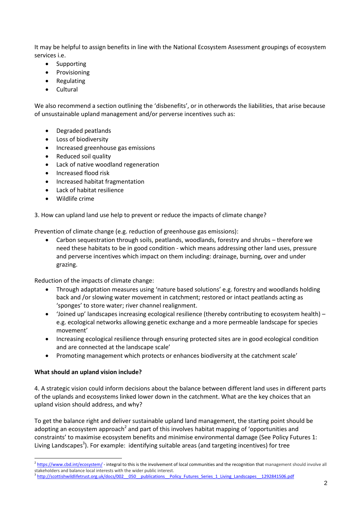It may be helpful to assign benefits in line with the National Ecosystem Assessment groupings of ecosystem services i.e.

- Supporting
- Provisioning
- Regulating
- Cultural

We also recommend a section outlining the 'disbenefits', or in otherwords the liabilities, that arise because of unsustainable upland management and/or perverse incentives such as:

- Degraded peatlands
- Loss of biodiversity
- Increased greenhouse gas emissions
- Reduced soil quality
- Lack of native woodland regeneration
- Increased flood risk
- Increased habitat fragmentation
- Lack of habitat resilience
- Wildlife crime

### 3. How can upland land use help to prevent or reduce the impacts of climate change?

Prevention of climate change (e.g. reduction of greenhouse gas emissions):

 Carbon sequestration through soils, peatlands, woodlands, forestry and shrubs – therefore we need these habitats to be in good condition - which means addressing other land uses, pressure and perverse incentives which impact on them including: drainage, burning, over and under grazing.

Reduction of the impacts of climate change:

- Through adaptation measures using 'nature based solutions' e.g. forestry and woodlands holding back and /or slowing water movement in catchment; restored or intact peatlands acting as 'sponges' to store water; river channel realignment.
- 'Joined up' landscapes increasing ecological resilience (thereby contributing to ecosystem health) e.g. ecological networks allowing genetic exchange and a more permeable landscape for species movement'
- Increasing ecological resilience through ensuring protected sites are in good ecological condition and are connected at the landscape scale'
- Promoting management which protects or enhances biodiversity at the catchment scale'

### **What should an upland vision include?**

 $\overline{a}$ 

4. A strategic vision could inform decisions about the balance between different land uses in different parts of the uplands and ecosystems linked lower down in the catchment. What are the key choices that an upland vision should address, and why?

To get the balance right and deliver sustainable upland land management, the starting point should be adopting an ecosystem approach<sup>2</sup> and part of this involves habitat mapping of 'opportunities and constraints' to maximise ecosystem benefits and minimise environmental damage (See Policy Futures 1: Living Landscapes<sup>3</sup>). For example: identifying suitable areas (and targeting incentives) for tree

<sup>&</sup>lt;sup>2</sup> <https://www.cbd.int/ecosystem/> - integral to this is the involvement of local communities and the recognition that management should involve all stakeholders and balance local interests with the wider public interest.

<sup>3</sup> http://scottishwildlifetrust.org.uk/docs/002\_050\_\_publications\_\_Policy\_Futures\_Series\_1\_Living\_Landscapes\_\_1292841506.pdf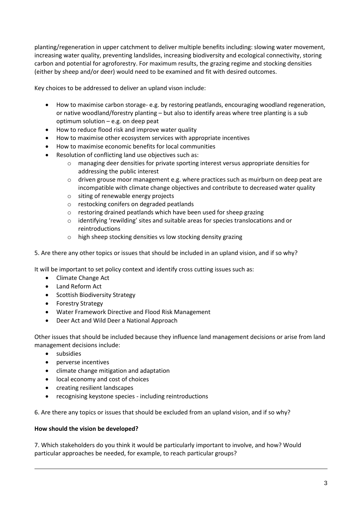planting/regeneration in upper catchment to deliver multiple benefits including: slowing water movement, increasing water quality, preventing landslides, increasing biodiversity and ecological connectivity, storing carbon and potential for agroforestry. For maximum results, the grazing regime and stocking densities (either by sheep and/or deer) would need to be examined and fit with desired outcomes.

Key choices to be addressed to deliver an upland vison include:

- How to maximise carbon storage- e.g. by restoring peatlands, encouraging woodland regeneration, or native woodland/forestry planting – but also to identify areas where tree planting is a sub optimum solution  $-e.g.$  on deep peat
- How to reduce flood risk and improve water quality
- How to maximise other ecosystem services with appropriate incentives
- How to maximise economic benefits for local communities
- Resolution of conflicting land use objectives such as:
	- o managing deer densities for private sporting interest versus appropriate densities for addressing the public interest
	- $\circ$  driven grouse moor management e.g. where practices such as muirburn on deep peat are incompatible with climate change objectives and contribute to decreased water quality
	- o siting of renewable energy projects
	- o restocking conifers on degraded peatlands
	- o restoring drained peatlands which have been used for sheep grazing
	- o identifying 'rewilding' sites and suitable areas for species translocations and or reintroductions
	- o high sheep stocking densities vs low stocking density grazing
- 5. Are there any other topics or issues that should be included in an upland vision, and if so why?

It will be important to set policy context and identify cross cutting issues such as:

- Climate Change Act
- Land Reform Act
- Scottish Biodiversity Strategy
- Forestry Strategy
- Water Framework Directive and Flood Risk Management
- Deer Act and Wild Deer a National Approach

Other issues that should be included because they influence land management decisions or arise from land management decisions include:

• subsidies

 $\overline{a}$ 

- perverse incentives
- climate change mitigation and adaptation
- local economy and cost of choices
- creating resilient landscapes
- recognising keystone species including reintroductions

6. Are there any topics or issues that should be excluded from an upland vision, and if so why?

### **How should the vision be developed?**

7. Which stakeholders do you think it would be particularly important to involve, and how? Would particular approaches be needed, for example, to reach particular groups?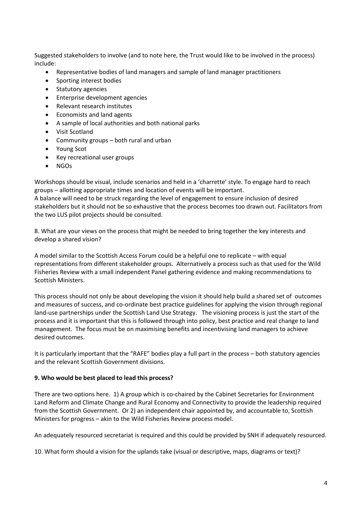Suggested stakeholders to involve (and to note here, the Trust would like to be involved in the process) include:

- Representative bodies of land managers and sample of land manager practitioners
- Sporting interest bodies
- Statutory agencies
- Enterprise development agencies
- Relevant research institutes
- Economists and land agents
- A sample of local authorities and both national parks
- Visit Scotland
- Community groups both rural and urban
- Young Scot
- Key recreational user groups
- NGOs

Workshops should be visual, include scenarios and held in a 'charrette' style. To engage hard to reach groups – allotting appropriate times and location of events will be important.

A balance will need to be struck regarding the level of engagement to ensure inclusion of desired stakeholders but it should not be so exhaustive that the process becomes too drawn out. Facilitators from the two LUS pilot projects should be consulted.

8. What are your views on the process that might be needed to bring together the key interests and develop a shared vision?

A model similar to the Scottish Access Forum could be a helpful one to replicate – with equal representations from different stakeholder groups. Alternatively a process such as that used for the Wild Fisheries Review with a small independent Panel gathering evidence and making recommendations to Scottish Ministers.

This process should not only be about developing the vision it should help build a shared set of outcomes and measures of success, and co-ordinate best practice guidelines for applying the vision through regional land-use partnerships under the Scottish Land Use Strategy. The visioning process is just the start of the process and it is important that this is followed through into policy, best practice and real change to land management. The focus must be on maximising benefits and incentivising land managers to achieve desired outcomes.

It is particularly important that the "RAFE" bodies play a full part in the process – both statutory agencies and the relevant Scottish Government divisions.

### **9. Who would be best placed to lead this process?**

There are two options here. 1) A group which is co-chaired by the Cabinet Secretaries for Environment Land Reform and Climate Change and Rural Economy and Connectivity to provide the leadership required from the Scottish Government. Or 2) an independent chair appointed by, and accountable to, Scottish Ministers for progress – akin to the Wild Fisheries Review process model.

An adequately resourced secretariat is required and this could be provided by SNH if adequately resourced.

10. What form should a vision for the uplands take (visual or descriptive, maps, diagrams or text)?